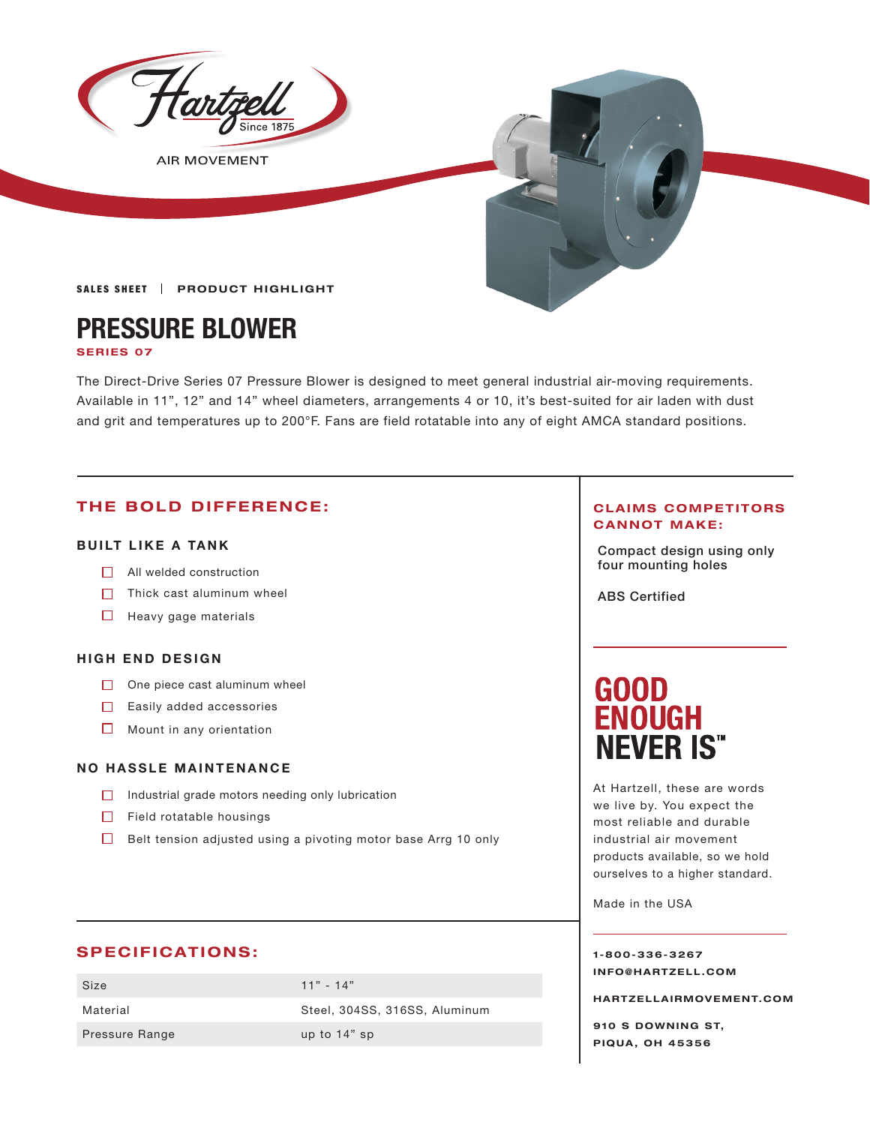

**AIR MOVEMENT** 

**SALES SHEET | PRODUCT HIGHLIGHT** 

# **PRESSURE BLOWER**

#### **SERIES 07**

The Direct-Drive Series 07 Pressure Blower is designed to meet general industrial air-moving requirements. Available in 11", 12" and 14" wheel diameters, arrangements 4 or 10, it's best-suited for air laden with dust and grit and temperatures up to 200°F. Fans are field rotatable into any of eight AMCA standard positions.

### **THE BOLD DIFFERENCE:**

#### **BUILT LIKE A TANK**

- **Four mounting holes** All welded construction
- $\Box$  Thick cast aluminum wheel
- $\Box$  Heavy gage materials

#### **HIGH END DESIGN**

- $\Box$  One piece cast aluminum wheel
- $\Box$  Easily added accessories
- $\Box$  Mount in any orientation

#### **NO HASSLE MAINTENANCE**

- $\Box$  Industrial grade motors needing only lubrication
- $\Box$  Field rotatable housings
- $\Box$  Belt tension adjusted using a pivoting motor base Arrg 10 only

## **SPECIFICATIONS:**

| Size           | $11" - 14"$                   |
|----------------|-------------------------------|
| Material       | Steel, 304SS, 316SS, Aluminum |
| Pressure Range | up to $14"$ sp                |

#### **CLAIMS COMPETITORS CANNOT MAKE:**

Compact design using only

ABS Certified

# **GOOD<br>ENOUGH NEVER IS"**

At Hartzell, these are words we live by. You expect the most reliable and durable industrial air movement products available, so we hold ourselves to a higher standard.

Made in the USA

**1-800-336-3267 I N F O @ H A R T Z E L L . C OM** 

**HARTZELLA IRMOVEMENT.COM**

**910 S DOWNING ST, PIQUA, OH 45356**